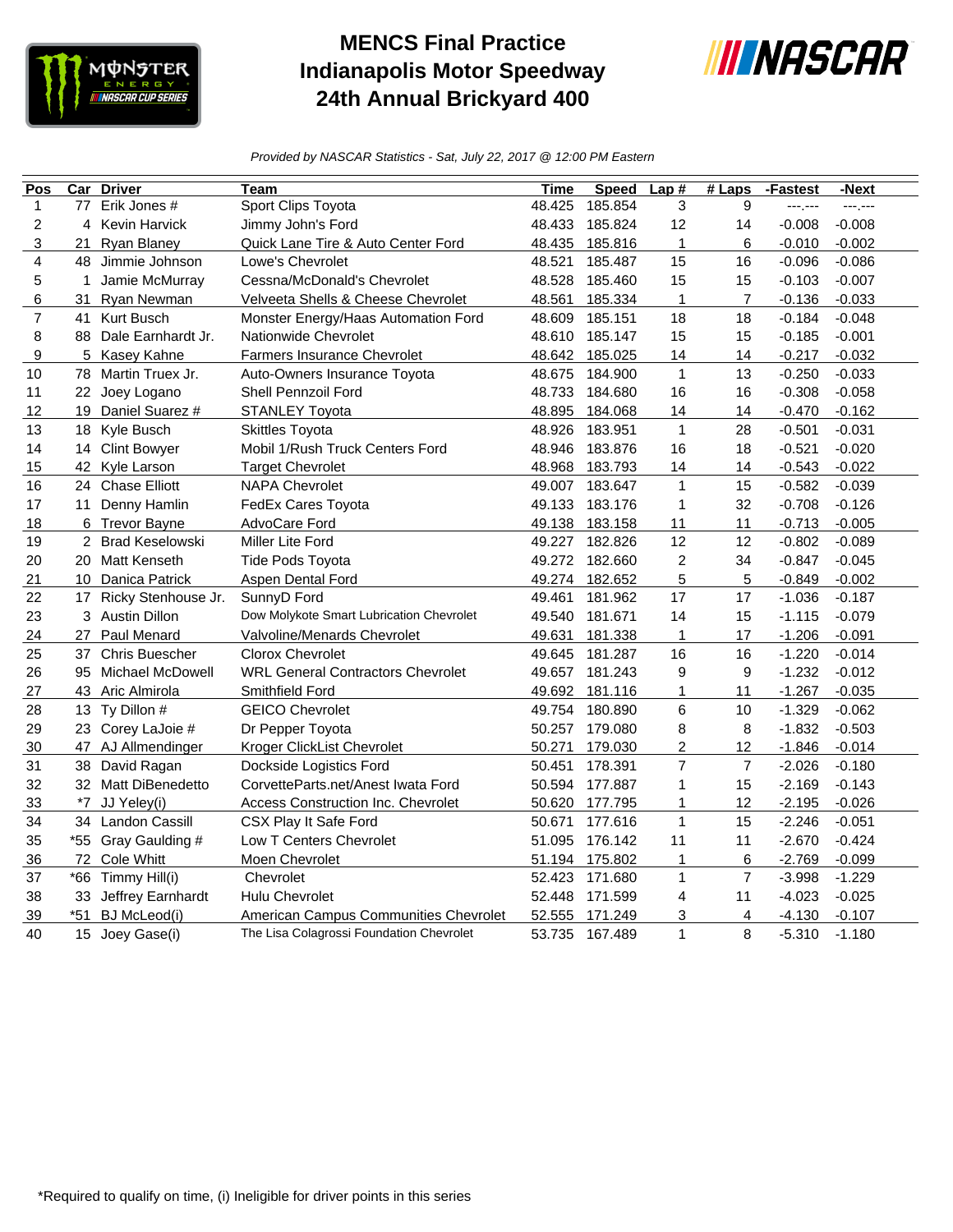

## **MENCS Final Practice Indianapolis Motor Speedway 24th Annual Brickyard 400**



*Provided by NASCAR Statistics - Sat, July 22, 2017 @ 12:00 PM Eastern*

| Pos            | $\overline{\text{Car}}$ | <b>Driver</b>          | Team                                     | Time   | <b>Speed</b>   | Lap#           | $#$ Laps       | -Fastest | -Next    |
|----------------|-------------------------|------------------------|------------------------------------------|--------|----------------|----------------|----------------|----------|----------|
| $\mathbf{1}$   | 77                      | Erik Jones #           | Sport Clips Toyota                       | 48.425 | 185.854        | 3              | 9              | ---.---  | ---.---  |
| $\overline{c}$ |                         | 4 Kevin Harvick        | Jimmy John's Ford                        | 48.433 | 185.824        | 12             | 14             | $-0.008$ | $-0.008$ |
| 3              | 21                      | <b>Ryan Blaney</b>     | Quick Lane Tire & Auto Center Ford       | 48.435 | 185.816        | 1              | 6              | $-0.010$ | $-0.002$ |
| 4              | 48                      | Jimmie Johnson         | Lowe's Chevrolet                         | 48.521 | 185.487        | 15             | 16             | $-0.096$ | $-0.086$ |
| 5              | 1                       | Jamie McMurray         | Cessna/McDonald's Chevrolet              | 48.528 | 185.460        | 15             | 15             | $-0.103$ | $-0.007$ |
| 6              | 31                      | Ryan Newman            | Velveeta Shells & Cheese Chevrolet       | 48.561 | 185.334        | $\mathbf{1}$   | $\overline{7}$ | $-0.136$ | $-0.033$ |
| $\overline{7}$ | 41                      | <b>Kurt Busch</b>      | Monster Energy/Haas Automation Ford      | 48.609 | 185.151        | 18             | 18             | $-0.184$ | $-0.048$ |
| 8              | 88                      | Dale Earnhardt Jr.     | Nationwide Chevrolet                     | 48.610 | 185.147        | 15             | 15             | $-0.185$ | $-0.001$ |
| 9              | 5                       | Kasey Kahne            | Farmers Insurance Chevrolet              | 48.642 | 185.025        | 14             | 14             | $-0.217$ | $-0.032$ |
| 10             | 78                      | Martin Truex Jr.       | Auto-Owners Insurance Toyota             | 48.675 | 184.900        | $\mathbf{1}$   | 13             | $-0.250$ | $-0.033$ |
| 11             |                         | 22 Joey Logano         | Shell Pennzoil Ford                      | 48.733 | 184.680        | 16             | 16             | $-0.308$ | $-0.058$ |
| 12             |                         | 19 Daniel Suarez #     | <b>STANLEY Toyota</b>                    | 48.895 | 184.068        | 14             | 14             | $-0.470$ | $-0.162$ |
| 13             | 18                      | Kyle Busch             | <b>Skittles Toyota</b>                   | 48.926 | 183.951        | $\mathbf{1}$   | 28             | $-0.501$ | $-0.031$ |
| 14             |                         | 14 Clint Bowyer        | Mobil 1/Rush Truck Centers Ford          | 48.946 | 183.876        | 16             | 18             | $-0.521$ | $-0.020$ |
| 15             |                         | 42 Kyle Larson         | <b>Target Chevrolet</b>                  | 48.968 | 183.793        | 14             | 14             | $-0.543$ | $-0.022$ |
| 16             |                         | 24 Chase Elliott       | <b>NAPA Chevrolet</b>                    | 49.007 | 183.647        | $\mathbf{1}$   | 15             | $-0.582$ | $-0.039$ |
| 17             | 11                      | Denny Hamlin           | FedEx Cares Toyota                       | 49.133 | 183.176        | $\mathbf{1}$   | 32             | $-0.708$ | $-0.126$ |
| 18             |                         | 6 Trevor Bayne         | AdvoCare Ford                            | 49.138 | 183.158        | 11             | 11             | $-0.713$ | $-0.005$ |
| 19             |                         | 2 Brad Keselowski      | Miller Lite Ford                         | 49.227 | 182.826        | 12             | 12             | $-0.802$ | $-0.089$ |
| 20             |                         | 20 Matt Kenseth        | <b>Tide Pods Toyota</b>                  |        | 49.272 182.660 | 2              | 34             | $-0.847$ | $-0.045$ |
| 21             |                         | 10 Danica Patrick      | Aspen Dental Ford                        | 49.274 | 182.652        | 5              | 5              | $-0.849$ | $-0.002$ |
| 22             |                         | 17 Ricky Stenhouse Jr. | SunnyD Ford                              | 49.461 | 181.962        | 17             | 17             | $-1.036$ | $-0.187$ |
| 23             |                         | 3 Austin Dillon        | Dow Molykote Smart Lubrication Chevrolet | 49.540 | 181.671        | 14             | 15             | $-1.115$ | $-0.079$ |
| 24             | 27                      | Paul Menard            | Valvoline/Menards Chevrolet              | 49.631 | 181.338        | $\mathbf{1}$   | 17             | $-1.206$ | $-0.091$ |
| 25             | 37                      | <b>Chris Buescher</b>  | <b>Clorox Chevrolet</b>                  | 49.645 | 181.287        | 16             | 16             | $-1.220$ | $-0.014$ |
| 26             |                         | 95 Michael McDowell    | <b>WRL General Contractors Chevrolet</b> | 49.657 | 181.243        | 9              | 9              | $-1.232$ | $-0.012$ |
| 27             |                         | 43 Aric Almirola       | Smithfield Ford                          | 49.692 | 181.116        | $\mathbf{1}$   | 11             | $-1.267$ | $-0.035$ |
| 28             |                         | 13 Ty Dillon #         | <b>GEICO Chevrolet</b>                   | 49.754 | 180.890        | 6              | 10             | $-1.329$ | $-0.062$ |
| 29             |                         | 23 Corey LaJoie #      | Dr Pepper Toyota                         | 50.257 | 179.080        | 8              | 8              | $-1.832$ | $-0.503$ |
| 30             |                         | 47 AJ Allmendinger     | Kroger ClickList Chevrolet               | 50.271 | 179.030        | $\overline{c}$ | 12             | $-1.846$ | $-0.014$ |
| 31             | 38                      | David Ragan            | Dockside Logistics Ford                  | 50.451 | 178.391        | $\overline{7}$ | $\overline{7}$ | $-2.026$ | $-0.180$ |
| 32             |                         | 32 Matt DiBenedetto    | CorvetteParts.net/Anest Iwata Ford       | 50.594 | 177.887        | 1              | 15             | $-2.169$ | $-0.143$ |
| 33             | *7                      | JJ Yeley(i)            | Access Construction Inc. Chevrolet       | 50.620 | 177.795        | 1              | 12             | $-2.195$ | $-0.026$ |
| 34             |                         | 34 Landon Cassill      | CSX Play It Safe Ford                    | 50.671 | 177.616        | $\mathbf{1}$   | 15             | $-2.246$ | $-0.051$ |
| 35             |                         | *55 Gray Gaulding #    | Low T Centers Chevrolet                  | 51.095 | 176.142        | 11             | 11             | $-2.670$ | $-0.424$ |
| 36             |                         | 72 Cole Whitt          | Moen Chevrolet                           | 51.194 | 175.802        | $\mathbf{1}$   | 6              | $-2.769$ | $-0.099$ |
| 37             | *66                     | Timmy Hill(i)          | Chevrolet                                | 52.423 | 171.680        | $\mathbf{1}$   | $\overline{7}$ | $-3.998$ | $-1.229$ |
| 38             | 33                      | Jeffrey Earnhardt      | <b>Hulu Chevrolet</b>                    | 52.448 | 171.599        | 4              | 11             | $-4.023$ | $-0.025$ |
| 39             | $*51$                   | BJ McLeod(i)           | American Campus Communities Chevrolet    | 52.555 | 171.249        | 3              | 4              | $-4.130$ | $-0.107$ |
| 40             |                         | 15 Joey Gase(i)        | The Lisa Colagrossi Foundation Chevrolet | 53.735 | 167.489        | $\mathbf{1}$   | 8              | $-5.310$ | $-1.180$ |